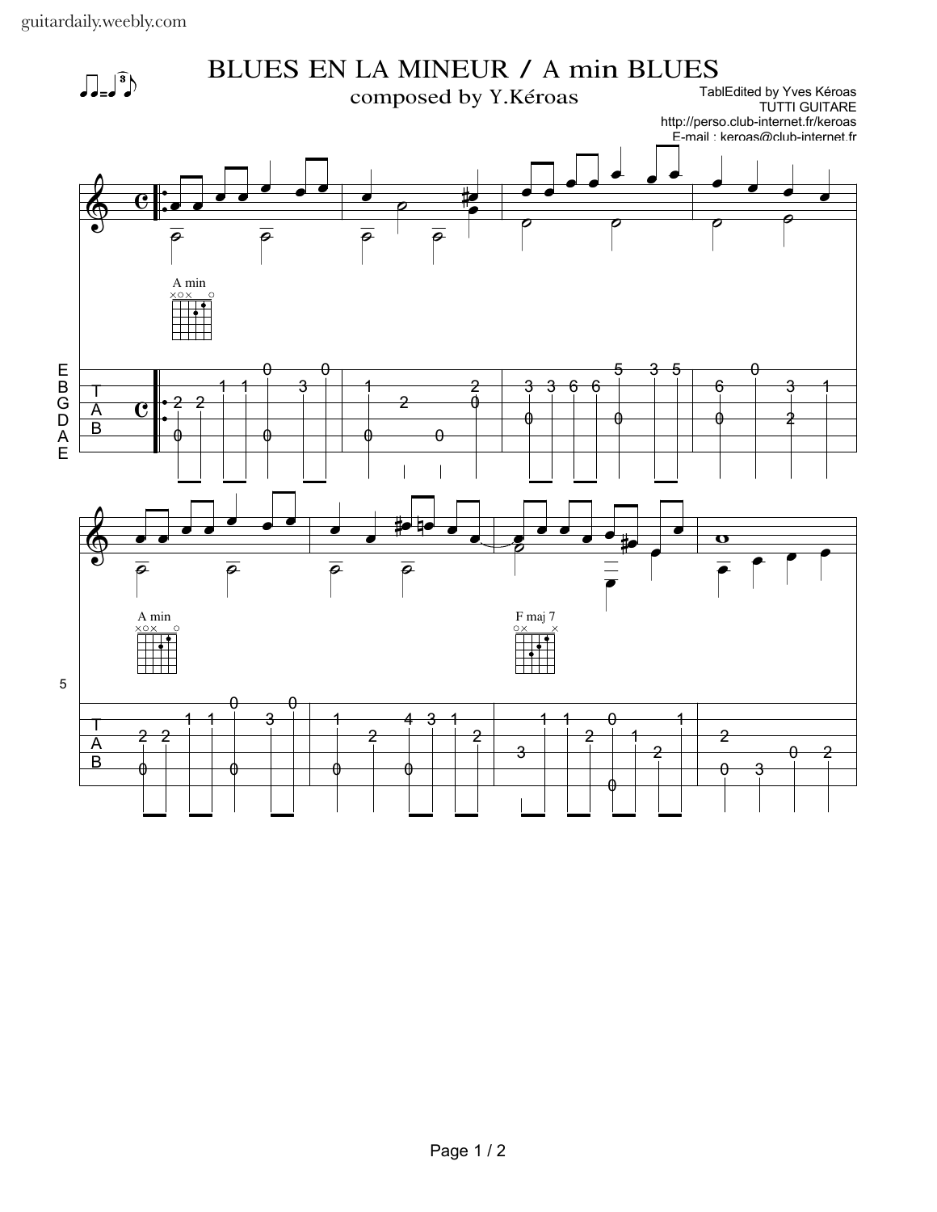guitardaily.weebly.com

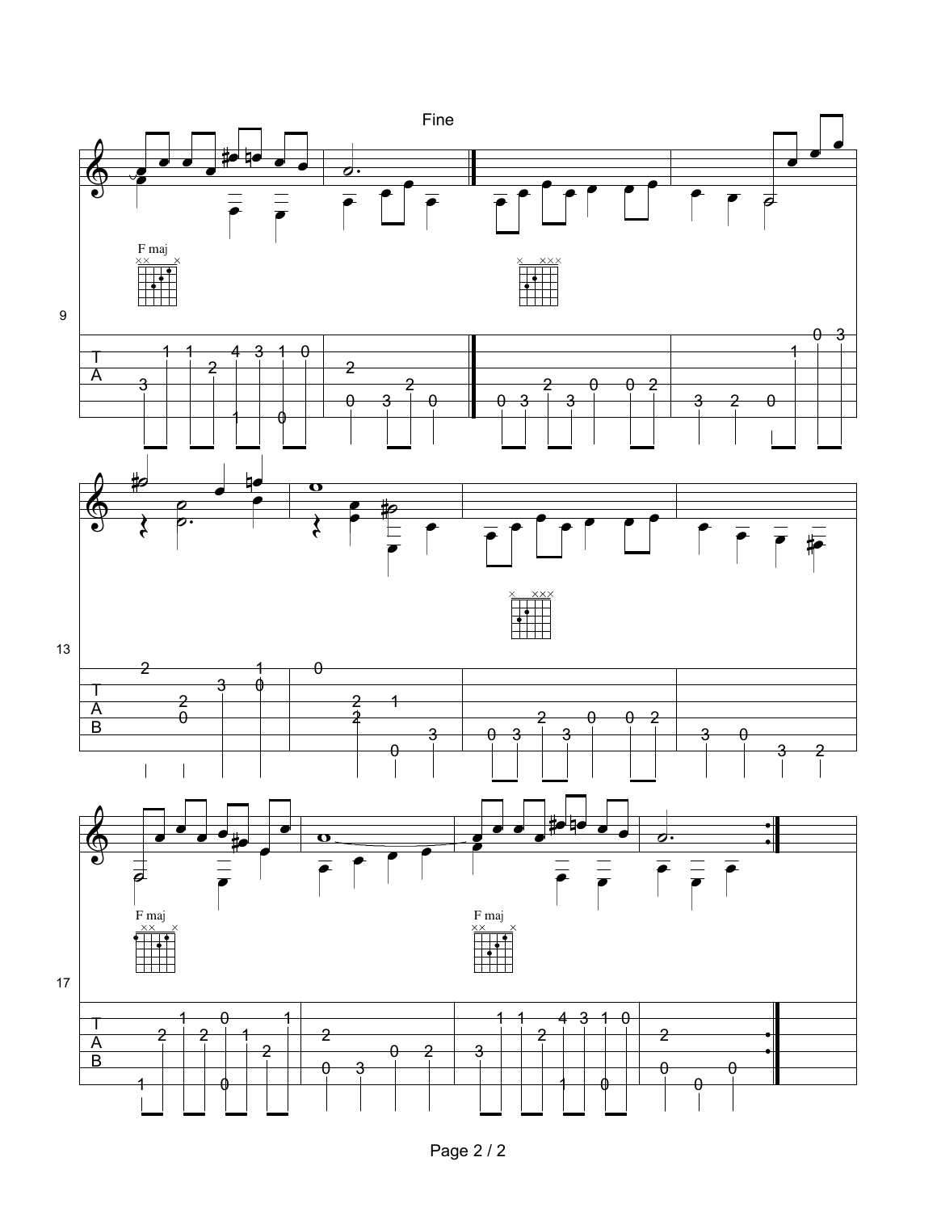

Page 2 / 2